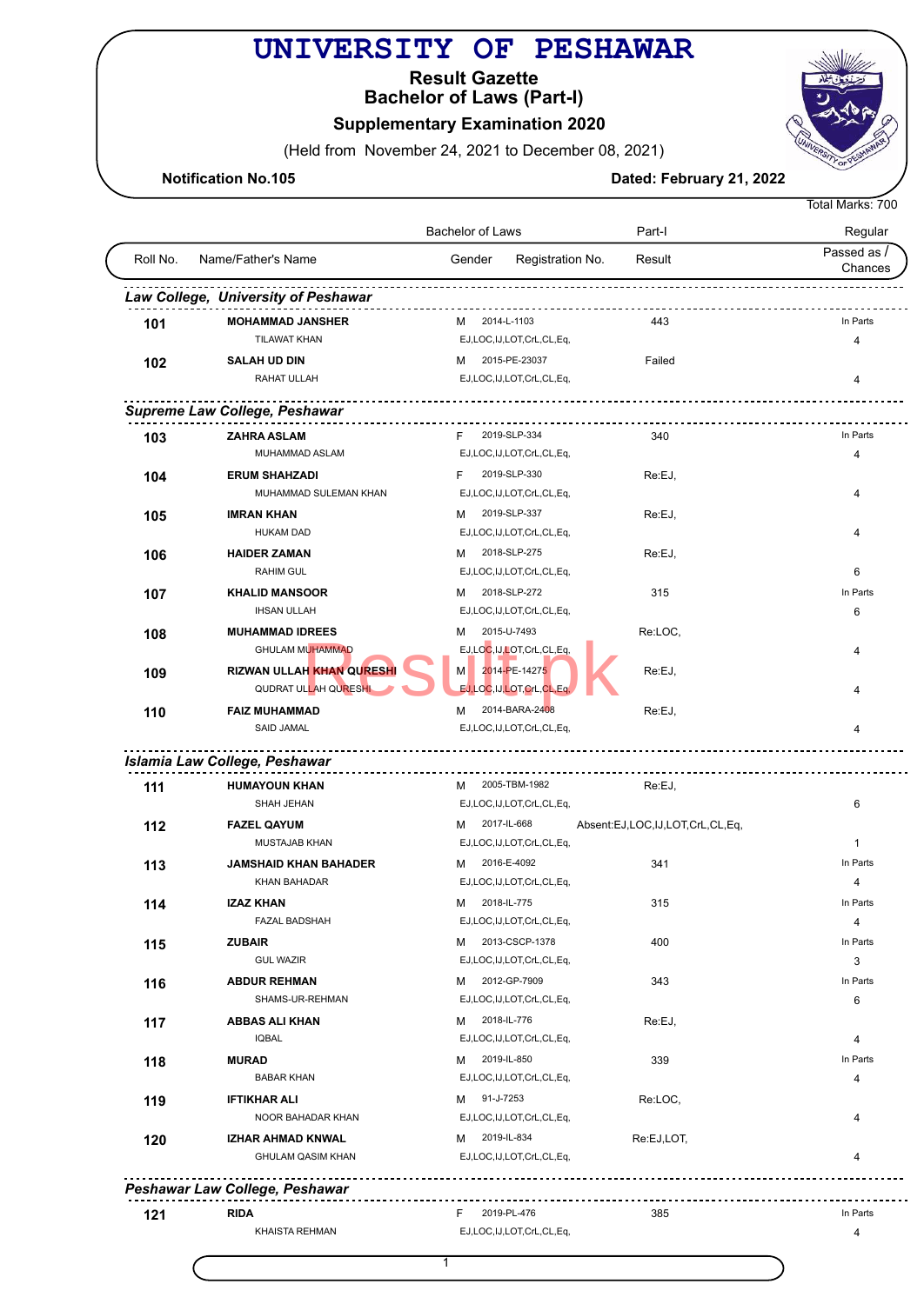## **UNIVERSITY OF PESHAWAR**

**Bachelor of Laws (Part-I) Result Gazette**

**Supplementary Examination 2020** 

(Held from November 24, 2021 to December 08, 2021)

**Notification No.105 Dated: February 21, 2022** 

|          |                                                     |                                              |                                 | Total Marks: 700       |
|----------|-----------------------------------------------------|----------------------------------------------|---------------------------------|------------------------|
|          |                                                     | Bachelor of Laws                             | Part-I                          | Regular                |
| Roll No. | Name/Father's Name                                  | Registration No.<br>Gender                   | Result                          | Passed as /<br>Chances |
|          | Law College, University of Peshawar                 |                                              |                                 |                        |
| 101      | <b>MOHAMMAD JANSHER</b>                             | M 2014-L-1103                                | 443                             | In Parts               |
|          | <b>TILAWAT KHAN</b>                                 | EJ,LOC,IJ,LOT,CrL,CL,Eq,                     |                                 | 4                      |
| 102      | <b>SALAH UD DIN</b>                                 | 2015-PE-23037<br>м                           | Failed                          |                        |
|          | RAHAT ULLAH                                         | EJ,LOC,IJ,LOT,CrL,CL,Eq,                     |                                 | 4                      |
|          | Supreme Law College, Peshawar                       |                                              |                                 |                        |
| 103      | <b>ZAHRA ASLAM</b>                                  | F.<br>2019-SLP-334                           | 340                             | In Parts               |
|          | MUHAMMAD ASLAM                                      | EJ,LOC,IJ,LOT,CrL,CL,Eq,                     |                                 | 4                      |
| 104      | <b>ERUM SHAHZADI</b>                                | 2019-SLP-330<br>F                            | Re:EJ,                          |                        |
|          | MUHAMMAD SULEMAN KHAN                               | EJ,LOC,IJ,LOT,CrL,CL,Eq,                     |                                 | 4                      |
|          | <b>IMRAN KHAN</b>                                   | 2019-SLP-337<br>м                            | Re:EJ,                          |                        |
| 105      | <b>HUKAM DAD</b>                                    | EJ,LOC,IJ,LOT,CrL,CL,Eq,                     |                                 | 4                      |
|          |                                                     | 2018-SLP-275                                 |                                 |                        |
| 106      | <b>HAIDER ZAMAN</b><br><b>RAHIM GUL</b>             | M<br>EJ,LOC,IJ,LOT,CrL,CL,Eq,                | Re:EJ,                          |                        |
|          |                                                     |                                              |                                 | 6                      |
| 107      | <b>KHALID MANSOOR</b>                               | 2018-SLP-272<br>м                            | 315                             | In Parts               |
|          | <b>IHSAN ULLAH</b>                                  | EJ,LOC,IJ,LOT,CrL,CL,Eq,                     |                                 | 6                      |
| 108      | <b>MUHAMMAD IDREES</b><br><b>GHULAM MUHAMMAD</b>    | 2015-U-7493<br>м<br>EJ,LOC,IJ,LOT,CrL,CL,Eq, | Re:LOC,                         | 4                      |
| 109      | <b>RIZWAN ULLAH KHAN QURESHI</b>                    | 2014-PE-14275<br>M                           | Re:EJ,                          |                        |
|          | QUDRAT ULLAH QURESHI                                | EJ, LOC, IJ, LOT, CrL, CL, Eq.               |                                 | 4                      |
| 110      | <b>FAIZ MUHAMMAD</b>                                | 2014-BARA-2408<br>м                          | Re:EJ,                          |                        |
|          | <b>SAID JAMAL</b>                                   | EJ,LOC,IJ,LOT,CrL,CL,Eq,                     |                                 | 4                      |
|          | Islamia Law College, Peshawar                       |                                              |                                 |                        |
|          | <b>HUMAYOUN KHAN</b>                                | 2005-TBM-1982<br>м                           | Re:EJ,                          |                        |
| 111      | SHAH JEHAN                                          | EJ,LOC,IJ,LOT,CrL,CL,Eq,                     |                                 | 6                      |
|          |                                                     |                                              |                                 |                        |
| 112      | <b>FAZEL QAYUM</b><br>MUSTAJAB KHAN                 | 2017-IL-668<br>м<br>EJ,LOC,IJ,LOT,CrL,CL,Eq, | Absent:EJ,LOC,IJ,LOT,CrL,CL,Eq, | $\mathbf{1}$           |
|          |                                                     |                                              |                                 | In Parts               |
| 113      | <b>JAMSHAID KHAN BAHADER</b><br><b>KHAN BAHADAR</b> | 2016-E-4092<br>м                             | 341                             |                        |
|          |                                                     | EJ,LOC,IJ,LOT,CrL,CL,Eq,                     |                                 | 4                      |
| 114      | <b>IZAZ KHAN</b>                                    | 2018-IL-775<br>м                             | 315                             | In Parts               |
|          | <b>FAZAL BADSHAH</b>                                | EJ,LOC,IJ,LOT,CrL,CL,Eq,                     |                                 | 4                      |
| 115      | <b>ZUBAIR</b>                                       | 2013-CSCP-1378<br>м                          | 400                             | In Parts               |
|          | <b>GUL WAZIR</b>                                    | EJ,LOC,IJ,LOT,CrL,CL,Eq,                     |                                 | 3                      |
| 116      | <b>ABDUR REHMAN</b>                                 | 2012-GP-7909<br>м                            | 343                             | In Parts               |
|          | SHAMS-UR-REHMAN                                     | EJ,LOC,IJ,LOT,CrL,CL,Eq,                     |                                 | 6                      |
| 117      | <b>ABBAS ALI KHAN</b>                               | M 2018-IL-776                                | Re:EJ,                          |                        |
|          | <b>IQBAL</b>                                        | EJ,LOC,IJ,LOT,CrL,CL,Eq,                     |                                 | 4                      |
| 118      | <b>MURAD</b>                                        | 2019-IL-850<br>M                             | 339                             | In Parts               |
|          | <b>BABAR KHAN</b>                                   | EJ,LOC,IJ,LOT,CrL,CL,Eq,                     |                                 | 4                      |
| 119      | <b>IFTIKHAR ALI</b>                                 | 91-J-7253<br>M                               | Re:LOC,                         |                        |
|          | NOOR BAHADAR KHAN                                   | EJ,LOC,IJ,LOT,CrL,CL,Eq,                     |                                 | 4                      |
| 120      | IZHAR AHMAD KNWAL                                   | 2019-IL-834<br>м                             | Re:EJ,LOT,                      |                        |
|          | <b>GHULAM QASIM KHAN</b>                            | EJ,LOC,IJ,LOT,CrL,CL,Eq,                     |                                 | 4                      |
|          | Peshawar Law College, Peshawar                      |                                              |                                 |                        |
| 121      | <b>RIDA</b>                                         | 2019-PL-476<br>F                             | 385                             | In Parts               |

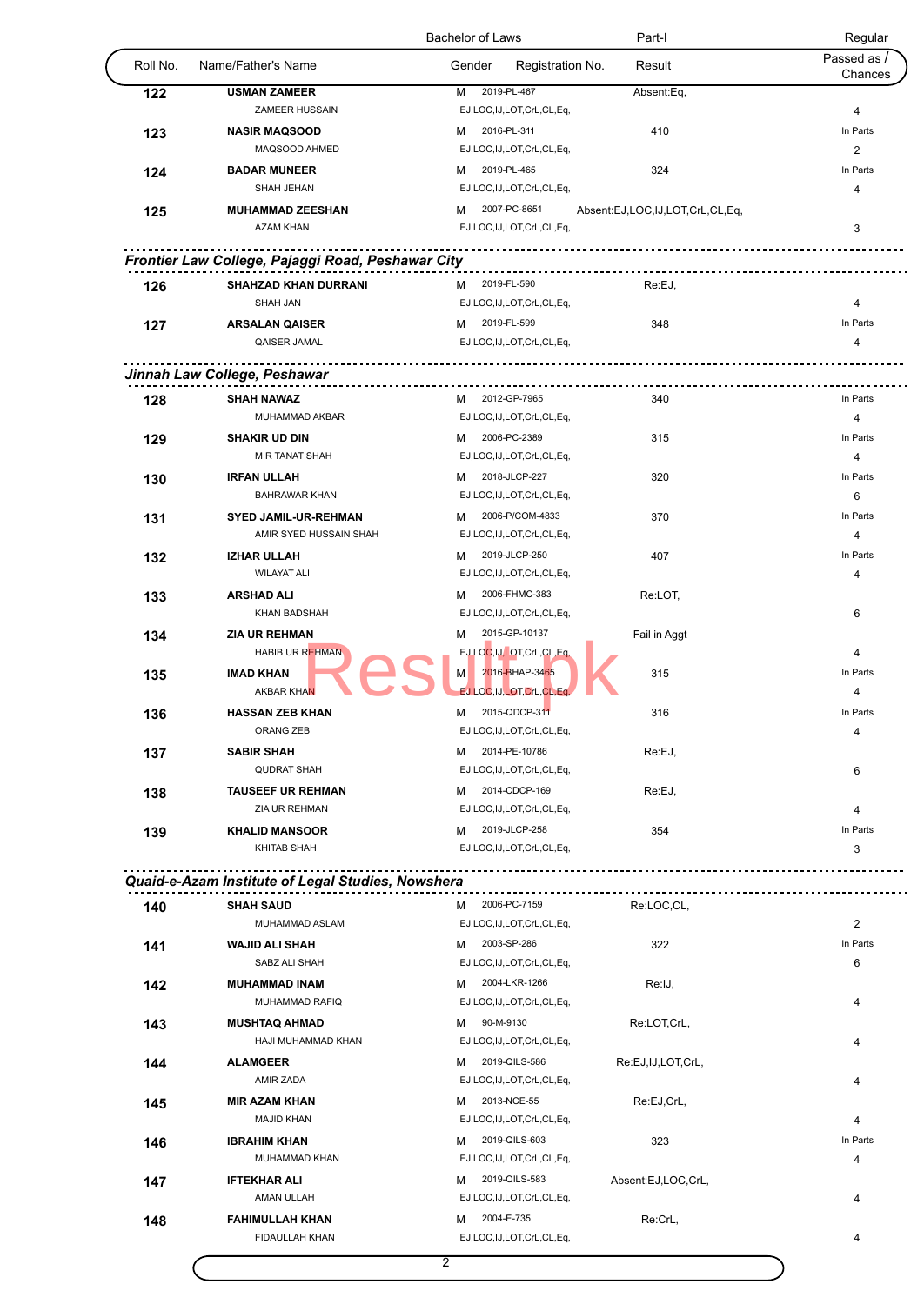|          |                                                   | Bachelor of Laws                                | Part-I                          | Regular                |
|----------|---------------------------------------------------|-------------------------------------------------|---------------------------------|------------------------|
| Roll No. | Name/Father's Name                                | Gender<br>Registration No.                      | Result                          | Passed as /<br>Chances |
| 122      | <b>USMAN ZAMEER</b>                               | 2019-PL-467<br>M                                | Absent:Eq,                      |                        |
|          | ZAMEER HUSSAIN                                    | EJ,LOC,IJ,LOT,CrL,CL,Eq,                        |                                 | 4                      |
| 123      | <b>NASIR MAQSOOD</b>                              | 2016-PL-311<br>м                                | 410                             | In Parts               |
|          | MAQSOOD AHMED                                     | EJ,LOC,IJ,LOT,CrL,CL,Eq,                        |                                 | $\overline{c}$         |
| 124      | <b>BADAR MUNEER</b>                               | 2019-PL-465<br>м                                | 324                             | In Parts               |
|          | SHAH JEHAN                                        | EJ,LOC,IJ,LOT,CrL,CL,Eq,                        |                                 | 4                      |
| 125      | <b>MUHAMMAD ZEESHAN</b><br><b>AZAM KHAN</b>       | 2007-PC-8651<br>м                               | Absent:EJ,LOC,IJ,LOT,CrL,CL,Eq, |                        |
|          |                                                   | EJ,LOC,IJ,LOT,CrL,CL,Eq,                        |                                 | 3                      |
|          | Frontier Law College, Pajaggi Road, Peshawar City |                                                 |                                 |                        |
| 126      | <b>SHAHZAD KHAN DURRANI</b>                       | 2019-FL-590<br>м                                | Re:EJ,                          |                        |
|          | <b>SHAH JAN</b>                                   | EJ,LOC,IJ,LOT,CrL,CL,Eq,                        |                                 | 4                      |
| 127      | <b>ARSALAN QAISER</b>                             | 2019-FL-599<br>м                                | 348                             | In Parts               |
|          | QAISER JAMAL                                      | EJ,LOC,IJ,LOT,CrL,CL,Eq,                        |                                 | $\overline{4}$         |
|          | Jinnah Law College, Peshawar                      |                                                 |                                 |                        |
| 128      | <b>SHAH NAWAZ</b>                                 | M 2012-GP-7965                                  | 340                             | In Parts               |
|          | MUHAMMAD AKBAR                                    | EJ,LOC,IJ,LOT,CrL,CL,Eq,                        |                                 | 4                      |
| 129      | <b>SHAKIR UD DIN</b>                              | 2006-PC-2389<br>м                               | 315                             | In Parts               |
|          | <b>MIR TANAT SHAH</b>                             | EJ,LOC,IJ,LOT,CrL,CL,Eq,                        |                                 | 4                      |
| 130      | <b>IRFAN ULLAH</b>                                | 2018-JLCP-227<br>м                              | 320                             | In Parts               |
|          | <b>BAHRAWAR KHAN</b>                              | EJ,LOC,IJ,LOT,CrL,CL,Eq,                        |                                 | 6                      |
| 131      | <b>SYED JAMIL-UR-REHMAN</b>                       | 2006-P/COM-4833<br>м                            | 370                             | In Parts               |
|          | AMIR SYED HUSSAIN SHAH                            | EJ,LOC,IJ,LOT,CrL,CL,Eq,                        |                                 | 4                      |
| 132      | <b>IZHAR ULLAH</b>                                | 2019-JLCP-250<br>м                              | 407                             | In Parts               |
|          | <b>WILAYAT ALI</b>                                | EJ,LOC,IJ,LOT,CrL,CL,Eq,                        |                                 | 4                      |
| 133      | <b>ARSHAD ALI</b>                                 | 2006-FHMC-383<br>м                              | Re:LOT,                         |                        |
|          | <b>KHAN BADSHAH</b>                               | EJ,LOC,IJ,LOT,CrL,CL,Eq,                        |                                 | 6                      |
| 134      | <b>ZIA UR REHMAN</b>                              | 2015-GP-10137<br>м                              | Fail in Aggt                    |                        |
|          | <b>HABIB UR REHMAN</b>                            | EJ,LOC,IJ,LOT,CrL,CL,Eq,                        |                                 | 4                      |
| 135      | <b>IMAD KHAN</b><br><b>AKBAR KHAN</b>             | 2016-BHAP-3465<br>M<br>EJ,LOC,IJ,LOT,CrL,CL,Eq, | 315                             | In Parts<br>4          |
|          | <b>HASSAN ZEB KHAN</b>                            | 2015-QDCP-311<br>М                              | 316                             | In Parts               |
| 136      | ORANG ZEB                                         | EJ,LOC,IJ,LOT,CrL,CL,Eq,                        |                                 | 4                      |
| 137      | <b>SABIR SHAH</b>                                 | 2014-PE-10786<br>м                              | Re:EJ,                          |                        |
|          | <b>QUDRAT SHAH</b>                                | EJ,LOC,IJ,LOT,CrL,CL,Eq,                        |                                 | 6                      |
| 138      | <b>TAUSEEF UR REHMAN</b>                          | 2014-CDCP-169<br>м                              | Re:EJ,                          |                        |
|          | ZIA UR REHMAN                                     | EJ,LOC,IJ,LOT,CrL,CL,Eq,                        |                                 | 4                      |
| 139      | <b>KHALID MANSOOR</b>                             | 2019-JLCP-258<br>м                              | 354                             | In Parts               |
|          | KHITAB SHAH                                       | EJ,LOC,IJ,LOT,CrL,CL,Eq,                        |                                 | 3                      |
|          | Quaid-e-Azam Institute of Legal Studies, Nowshera |                                                 |                                 |                        |
|          |                                                   |                                                 |                                 |                        |
| 140      | <b>SHAH SAUD</b><br>MUHAMMAD ASLAM                | 2006-PC-7159<br>м<br>EJ,LOC,IJ,LOT,CrL,CL,Eq,   | Re:LOC,CL,                      | 2                      |
|          | <b>WAJID ALI SHAH</b>                             | 2003-SP-286<br>м                                | 322                             | In Parts               |
| 141      | SABZ ALI SHAH                                     | EJ,LOC,IJ,LOT,CrL,CL,Eq,                        |                                 | 6                      |
| 142      | <b>MUHAMMAD INAM</b>                              | 2004-LKR-1266<br>м                              | Re:IJ,                          |                        |
|          | MUHAMMAD RAFIQ                                    | EJ,LOC,IJ,LOT,CrL,CL,Eq,                        |                                 | 4                      |
| 143      | <b>MUSHTAQ AHMAD</b>                              | 90-M-9130<br>м                                  | Re:LOT,CrL,                     |                        |
|          | HAJI MUHAMMAD KHAN                                | EJ,LOC,IJ,LOT,CrL,CL,Eq,                        |                                 | 4                      |
| 144      | <b>ALAMGEER</b>                                   | 2019-QILS-586<br>м                              | Re:EJ,IJ,LOT,CrL,               |                        |
|          | AMIR ZADA                                         | EJ,LOC,IJ,LOT,CrL,CL,Eq,                        |                                 | 4                      |
| 145      | <b>MIR AZAM KHAN</b>                              | 2013-NCE-55<br>м                                | Re:EJ,CrL,                      |                        |
|          | <b>MAJID KHAN</b>                                 | EJ,LOC,IJ,LOT,CrL,CL,Eq,                        |                                 | 4                      |
| 146      | <b>IBRAHIM KHAN</b>                               | 2019-QILS-603<br>м                              | 323                             | In Parts               |
|          | MUHAMMAD KHAN                                     | EJ,LOC,IJ,LOT,CrL,CL,Eq,                        |                                 | 4                      |
|          | <b>IFTEKHAR ALI</b>                               | 2019-QILS-583<br>м                              | Absent:EJ,LOC,CrL,              |                        |
| 147      |                                                   |                                                 |                                 |                        |
|          | AMAN ULLAH                                        | EJ,LOC,IJ,LOT,CrL,CL,Eq,                        |                                 | 4                      |
| 148      | <b>FAHIMULLAH KHAN</b>                            | 2004-E-735<br>м                                 | Re:CrL,                         |                        |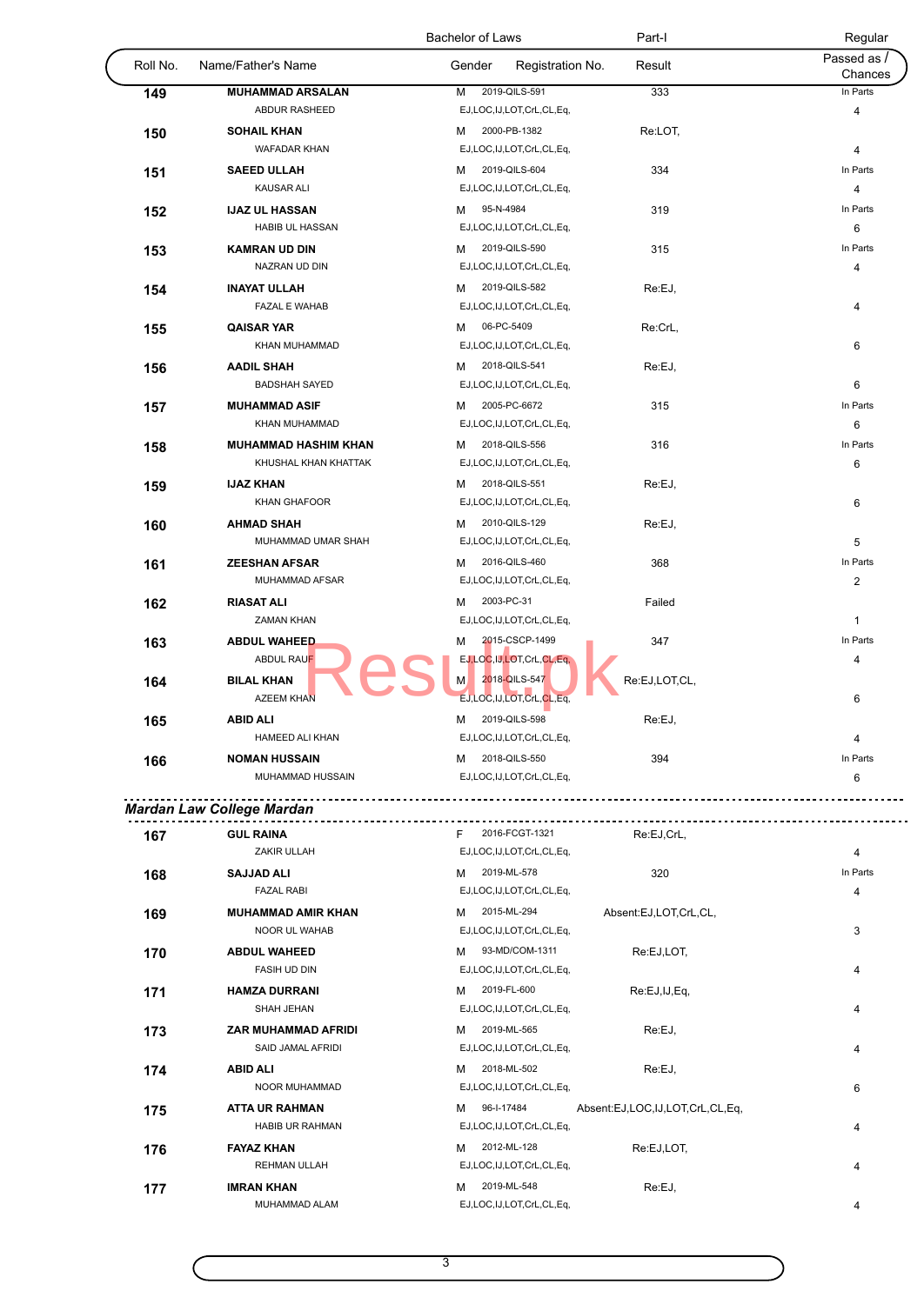|          |                                        | Bachelor of Laws                               | Part-I        | Regular                |
|----------|----------------------------------------|------------------------------------------------|---------------|------------------------|
| Roll No. | Name/Father's Name                     | Gender<br>Registration No.                     | Result        | Passed as /<br>Chances |
| 149      | <b>MUHAMMAD ARSALAN</b>                | 2019-QILS-591<br>М                             | 333           | In Parts               |
|          | ABDUR RASHEED                          | EJ,LOC,IJ,LOT,CrL,CL,Eq,                       |               | 4                      |
| 150      | <b>SOHAIL KHAN</b>                     | 2000-PB-1382<br>м                              | Re:LOT,       |                        |
|          | <b>WAFADAR KHAN</b>                    | EJ,LOC,IJ,LOT,CrL,CL,Eq,                       |               | $\overline{4}$         |
| 151      | <b>SAEED ULLAH</b>                     | 2019-QILS-604<br>М                             | 334           | In Parts               |
|          | KAUSAR ALI                             | EJ,LOC,IJ,LOT,CrL,CL,Eq,                       |               | 4                      |
| 152      | <b>IJAZ UL HASSAN</b>                  | 95-N-4984<br>м                                 | 319           | In Parts               |
|          | <b>HABIB UL HASSAN</b>                 | EJ,LOC,IJ,LOT,CrL,CL,Eq,                       |               | 6                      |
| 153      | <b>KAMRAN UD DIN</b>                   | 2019-QILS-590<br>м                             | 315           | In Parts               |
|          | NAZRAN UD DIN                          | EJ,LOC,IJ,LOT,CrL,CL,Eq,                       |               | $\overline{4}$         |
| 154      | <b>INAYAT ULLAH</b>                    | 2019-QILS-582<br>м                             | Re:EJ,        |                        |
|          | <b>FAZAL E WAHAB</b>                   | EJ,LOC,IJ,LOT,CrL,CL,Eq,                       |               | 4                      |
| 155      | <b>QAISAR YAR</b>                      | 06-PC-5409<br>м                                | Re:CrL,       |                        |
|          | KHAN MUHAMMAD                          | EJ,LOC,IJ,LOT,CrL,CL,Eq,                       |               | 6                      |
| 156      | <b>AADIL SHAH</b>                      | 2018-QILS-541<br>м                             | Re:EJ,        |                        |
|          | <b>BADSHAH SAYED</b>                   | EJ,LOC,IJ,LOT,CrL,CL,Eq,                       |               | 6                      |
| 157      | <b>MUHAMMAD ASIF</b>                   | 2005-PC-6672<br>м                              | 315           | In Parts               |
|          | KHAN MUHAMMAD                          | EJ,LOC,IJ,LOT,CrL,CL,Eq,                       |               | 6                      |
| 158      | <b>MUHAMMAD HASHIM KHAN</b>            | 2018-QILS-556<br>м                             | 316           | In Parts               |
|          | KHUSHAL KHAN KHATTAK                   | EJ,LOC,IJ,LOT,CrL,CL,Eq,                       |               | 6                      |
| 159      | <b>IJAZ KHAN</b>                       | 2018-QILS-551<br>м                             | Re:EJ,        |                        |
|          | KHAN GHAFOOR                           | EJ,LOC,IJ,LOT,CrL,CL,Eq,                       |               | 6                      |
| 160      | <b>AHMAD SHAH</b>                      | 2010-QILS-129<br>м                             | Re:EJ,        |                        |
|          | MUHAMMAD UMAR SHAH                     | EJ,LOC,IJ,LOT,CrL,CL,Eq,                       |               | 5                      |
| 161      | <b>ZEESHAN AFSAR</b>                   | 2016-QILS-460<br>м                             | 368           | In Parts               |
|          | MUHAMMAD AFSAR                         | EJ,LOC,IJ,LOT,CrL,CL,Eq,                       |               | $\overline{2}$         |
| 162      | <b>RIASAT ALI</b>                      | 2003-PC-31<br>м                                | Failed        |                        |
|          | <b>ZAMAN KHAN</b>                      | EJ,LOC,IJ,LOT,CrL,CL,Eq,                       |               | $\mathbf{1}$           |
| 163      | <b>ABDUL WAHEED</b>                    | 2015-CSCP-1499<br>М                            | 347           | In Parts               |
|          | <b>ABDUL RAUF</b>                      | EJ,LOC,IJ,LOT,CrL,CL,Eq,                       |               | 4                      |
| 164      | <b>BILAL KHAN</b><br><b>AZEEM KHAN</b> | 2018-QILS-547<br>М<br>EJ,LOC,IJ,LOT,CrL,CL,Eq, | Re:EJ,LOT,CL, | 6                      |
| 165      | <b>ABID ALI</b>                        | 2019-QILS-598<br>м                             | Re:EJ,        |                        |
|          | HAMEED ALI KHAN                        | EJ,LOC,IJ,LOT,CrL,CL,Eq,                       |               | $\overline{4}$         |
| 166      | <b>NOMAN HUSSAIN</b>                   | 2018-QILS-550<br>м                             | 394           | In Parts               |
|          | MUHAMMAD HUSSAIN                       | EJ,LOC,IJ,LOT,CrL,CL,Eq,                       |               | 6                      |
|          | Mardan Law College Mardan              |                                                |               |                        |
| 167      | <b>GUL RAINA</b>                       | 2016-FCGT-1321<br>F                            | Re:EJ,CrL,    |                        |

| 1 V I |                           |                                                    |                |
|-------|---------------------------|----------------------------------------------------|----------------|
|       | ZAKIR ULLAH               | EJ,LOC,IJ,LOT,CrL,CL,Eq,                           | 4              |
| 168   | <b>SAJJAD ALI</b>         | 2019-ML-578<br>320<br>м                            | In Parts       |
|       | <b>FAZAL RABI</b>         | EJ,LOC,IJ,LOT,CrL,CL,Eq,                           | 4              |
| 169   | <b>MUHAMMAD AMIR KHAN</b> | 2015-ML-294<br>м<br>Absent:EJ,LOT,CrL,CL,          |                |
|       | NOOR UL WAHAB             | EJ,LOC,IJ,LOT,CrL,CL,Eq,                           | 3              |
| 170   | <b>ABDUL WAHEED</b>       | 93-MD/COM-1311<br>Re:EJ,LOT,<br>м                  |                |
|       | <b>FASIH UD DIN</b>       | EJ,LOC,IJ,LOT,CrL,CL,Eq,                           | 4              |
| 171   | <b>HAMZA DURRANI</b>      | 2019-FL-600<br>M<br>Re:EJ,IJ,Eq,                   |                |
|       | SHAH JEHAN                | EJ,LOC,IJ,LOT,CrL,CL,Eq,                           | $\overline{4}$ |
| 173   | ZAR MUHAMMAD AFRIDI       | 2019-ML-565<br>Re:EJ,<br>м                         |                |
|       | SAID JAMAL AFRIDI         | EJ,LOC,IJ,LOT,CrL,CL,Eq,                           | 4              |
| 174   | <b>ABID ALI</b>           | 2018-ML-502<br>Re:EJ,<br>м                         |                |
|       | NOOR MUHAMMAD             | EJ,LOC,IJ,LOT,CrL,CL,Eq,                           | 6              |
| 175   | <b>ATTA UR RAHMAN</b>     | 96-I-17484<br>Absent:EJ,LOC,IJ,LOT,CrL,CL,Eq,<br>м |                |
|       | <b>HABIB UR RAHMAN</b>    | EJ,LOC,IJ,LOT,CrL,CL,Eq,                           | 4              |
| 176   | <b>FAYAZ KHAN</b>         | 2012-ML-128<br>Re:EJ,LOT,<br>м                     |                |
|       | <b>REHMAN ULLAH</b>       | EJ,LOC,IJ,LOT,CrL,CL,Eq,                           | 4              |
| 177   | <b>IMRAN KHAN</b>         | 2019-ML-548<br>M<br>Re:EJ,                         |                |
|       | MUHAMMAD ALAM             | EJ,LOC,IJ,LOT,CrL,CL,Eq,                           | 4              |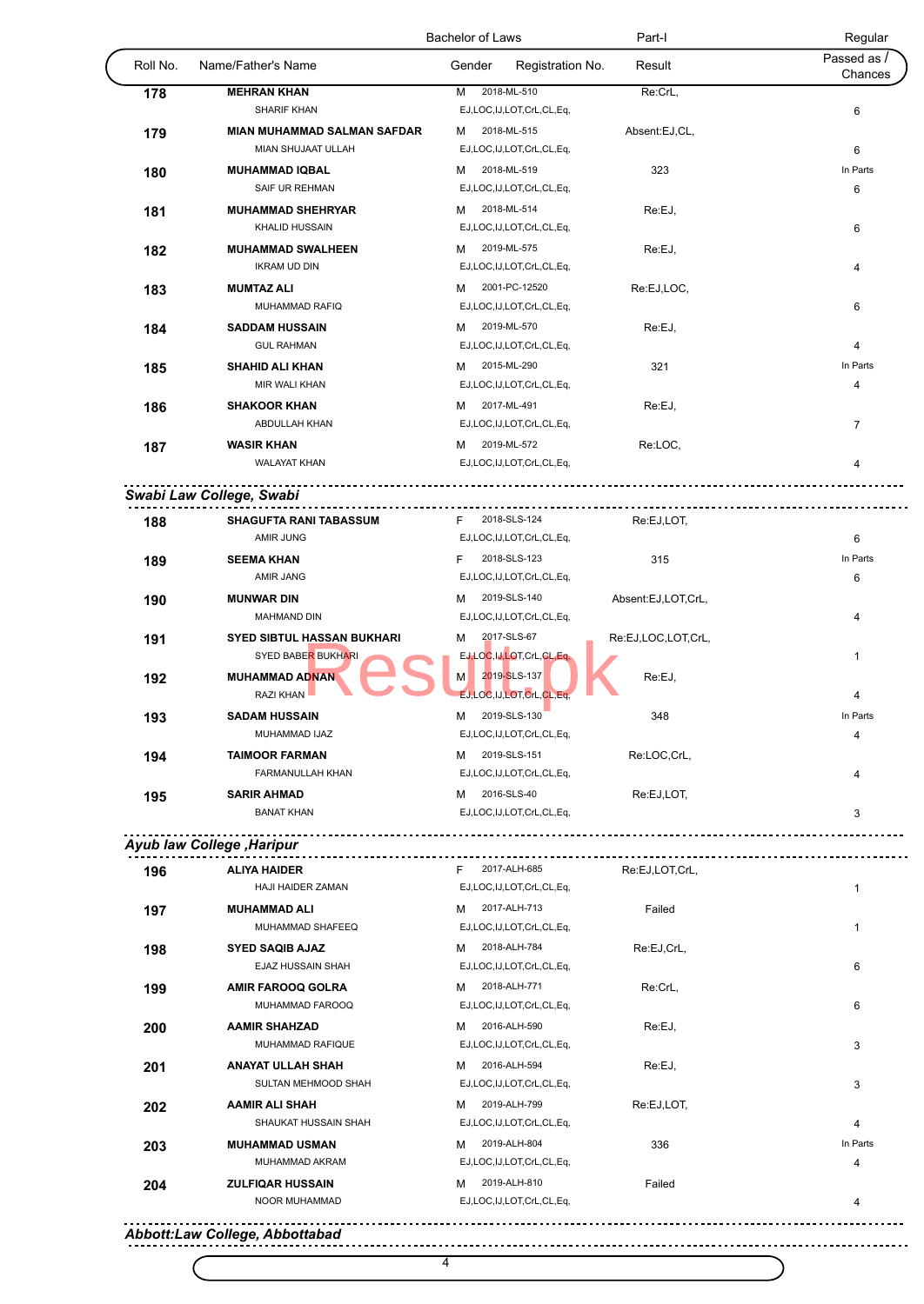|          |                                                                | <b>Bachelor of Laws</b>    | Part-I             | Regular                |
|----------|----------------------------------------------------------------|----------------------------|--------------------|------------------------|
| Roll No. | Name/Father's Name                                             | Registration No.<br>Gender | Result             | Passed as /<br>Chances |
| 178      | <b>MEHRAN KHAN</b>                                             | 2018-ML-510<br>М           | Re:CrL,            |                        |
|          | SHARIF KHAN                                                    | EJ,LOC,IJ,LOT,CrL,CL,Eq,   |                    | 6                      |
| 179      | <b>MIAN MUHAMMAD SALMAN SAFDAR</b>                             | 2018-ML-515<br>м           | Absent:EJ,CL,      |                        |
|          | MIAN SHUJAAT ULLAH                                             | EJ,LOC,IJ,LOT,CrL,CL,Eq,   |                    | 6                      |
| 180      | <b>MUHAMMAD IQBAL</b>                                          | 2018-ML-519<br>м           | 323                | In Parts               |
|          | SAIF UR REHMAN                                                 | EJ,LOC,IJ,LOT,CrL,CL,Eq,   |                    | 6                      |
| 181      | <b>MUHAMMAD SHEHRYAR</b>                                       | 2018-ML-514<br>м           | Re:EJ,             |                        |
|          | KHALID HUSSAIN                                                 | EJ,LOC,IJ,LOT,CrL,CL,Eq,   |                    | 6                      |
| 182      | <b>MUHAMMAD SWALHEEN</b>                                       | 2019-ML-575<br>м           | Re:EJ,             |                        |
|          | <b>IKRAM UD DIN</b>                                            | EJ,LOC,IJ,LOT,CrL,CL,Eq,   |                    | 4                      |
| 183      | <b>MUMTAZ ALI</b>                                              | 2001-PC-12520<br>м         | Re:EJ,LOC,         |                        |
|          | MUHAMMAD RAFIQ                                                 | EJ,LOC,IJ,LOT,CrL,CL,Eq,   |                    | 6                      |
| 184      | <b>SADDAM HUSSAIN</b>                                          | 2019-ML-570<br>м           | Re:EJ,             |                        |
|          | <b>GUL RAHMAN</b>                                              | EJ,LOC,IJ,LOT,CrL,CL,Eq,   |                    | 4                      |
| 185      | <b>SHAHID ALI KHAN</b>                                         | 2015-ML-290<br>м           | 321                | In Parts               |
|          | MIR WALI KHAN                                                  | EJ,LOC,IJ,LOT,CrL,CL,Eq,   |                    | 4                      |
| 186      | <b>SHAKOOR KHAN</b>                                            | 2017-ML-491<br>м           | Re:EJ,             |                        |
|          | ABDULLAH KHAN                                                  | EJ,LOC,IJ,LOT,CrL,CL,Eq,   |                    | $\overline{7}$         |
| 187      | <b>WASIR KHAN</b>                                              | 2019-ML-572<br>м           | Re:LOC,            |                        |
|          | <b>WALAYAT KHAN</b>                                            | EJ,LOC,IJ,LOT,CrL,CL,Eq,   |                    | 4                      |
|          | Swabi Law College, Swabi                                       |                            |                    |                        |
| 188      | SHAGUFTA RANI TABASSUM                                         | 2018-SLS-124<br>F.         | Re:EJ,LOT,         |                        |
|          | <b>AMIR JUNG</b>                                               | EJ,LOC,IJ,LOT,CrL,CL,Eq,   |                    | 6                      |
| 189      | <b>SEEMA KHAN</b>                                              | 2018-SLS-123<br>F.         | 315                | In Parts               |
|          | AMIR JANG                                                      | EJ,LOC,IJ,LOT,CrL,CL,Eq,   |                    | 6                      |
| 190      | <b>MUNWAR DIN</b>                                              | 2019-SLS-140<br>м          | Absent:EJ,LOT,CrL, |                        |
|          | <b>MAHMAND DIN</b>                                             | EJ,LOC,IJ,LOT,CrL,CL,Eq,   |                    | 4                      |
|          | <b>SYED SIBTUL HASSAN BUKHARI</b>                              | 2017-SLS-67<br>м           | Re:EJ,LOC,LOT,CrL, |                        |
| 191      | <b>SYED BABER BUKHARI</b>                                      | EJ,LOC,IJ,LOT,CrL,CL,Eq,   |                    | $\mathbf{1}$           |
|          | <b>MUHAMMAD ADNAN</b>                                          | 2019-SLS-137<br>M.         | Re:EJ,             |                        |
| 192      | RAZI KHAN                                                      | EJ,LOC,IJ,LOT,CrL,CL,Eq,   |                    | 4                      |
|          |                                                                |                            |                    |                        |
| 193      | <b>SADAM HUSSAIN</b>                                           | 2019-SLS-130<br>М          | 348                | In Parts               |
|          | MUHAMMAD IJAZ                                                  | EJ,LOC,IJ,LOT,CrL,CL,Eq,   |                    | 4                      |
| 194      | <b>TAIMOOR FARMAN</b>                                          | 2019-SLS-151<br>м          | Re:LOC,CrL,        |                        |
|          | FARMANULLAH KHAN                                               | EJ,LOC,IJ,LOT,CrL,CL,Eq,   |                    | 4                      |
| 195      | <b>SARIR AHMAD</b>                                             | 2016-SLS-40<br>M           | Re:EJ,LOT,         |                        |
|          | <b>BANAT KHAN</b>                                              | EJ,LOC,IJ,LOT,CrL,CL,Eq,   |                    | 3                      |
|          | Ayub law College , Haripur<br>-------------------------------- | F 2017-ALH-685             | Re:EJ,LOT,CrL,     |                        |
| 196      | <b>ALIYA HAIDER</b><br>HAJI HAIDER ZAMAN                       | EJ,LOC,IJ,LOT,CrL,CL,Eq,   |                    | $\mathbf{1}$           |
|          |                                                                |                            |                    |                        |
| 197      | <b>MUHAMMAD ALI</b>                                            | 2017-ALH-713<br>м          | Failed             |                        |
|          | MUHAMMAD SHAFEEQ                                               | EJ,LOC,IJ,LOT,CrL,CL,Eq,   |                    | $\mathbf{1}$           |
| 198      | <b>SYED SAQIB AJAZ</b>                                         | 2018-ALH-784<br>м          | Re:EJ,CrL,         |                        |
|          | EJAZ HUSSAIN SHAH                                              | EJ,LOC,IJ,LOT,CrL,CL,Eq,   |                    | 6                      |
| 199      | <b>AMIR FAROOQ GOLRA</b>                                       | 2018-ALH-771<br>м          | Re:CrL,            |                        |
|          | MUHAMMAD FAROOQ                                                | EJ,LOC,IJ,LOT,CrL,CL,Eq,   |                    | 6                      |
| 200      | <b>AAMIR SHAHZAD</b>                                           | 2016-ALH-590<br>м          | Re:EJ,             |                        |
|          | MUHAMMAD RAFIQUE                                               | EJ,LOC,IJ,LOT,CrL,CL,Eq,   |                    | 3                      |
| 201      | <b>ANAYAT ULLAH SHAH</b>                                       | 2016-ALH-594<br>м          | Re:EJ,             |                        |
|          | SULTAN MEHMOOD SHAH                                            | EJ,LOC,IJ,LOT,CrL,CL,Eq,   |                    | 3                      |
| 202      | <b>AAMIR ALI SHAH</b>                                          | 2019-ALH-799<br>м          | Re:EJ,LOT,         |                        |
|          | SHAUKAT HUSSAIN SHAH                                           | EJ,LOC,IJ,LOT,CrL,CL,Eq,   |                    | 4                      |
| 203      | <b>MUHAMMAD USMAN</b>                                          | 2019-ALH-804<br>M          | 336                | In Parts               |
|          | MUHAMMAD AKRAM                                                 | EJ,LOC,IJ,LOT,CrL,CL,Eq,   |                    | 4                      |
|          |                                                                |                            |                    |                        |
| 204      | <b>ZULFIQAR HUSSAIN</b>                                        | 2019-ALH-810<br>м          | Failed             |                        |

4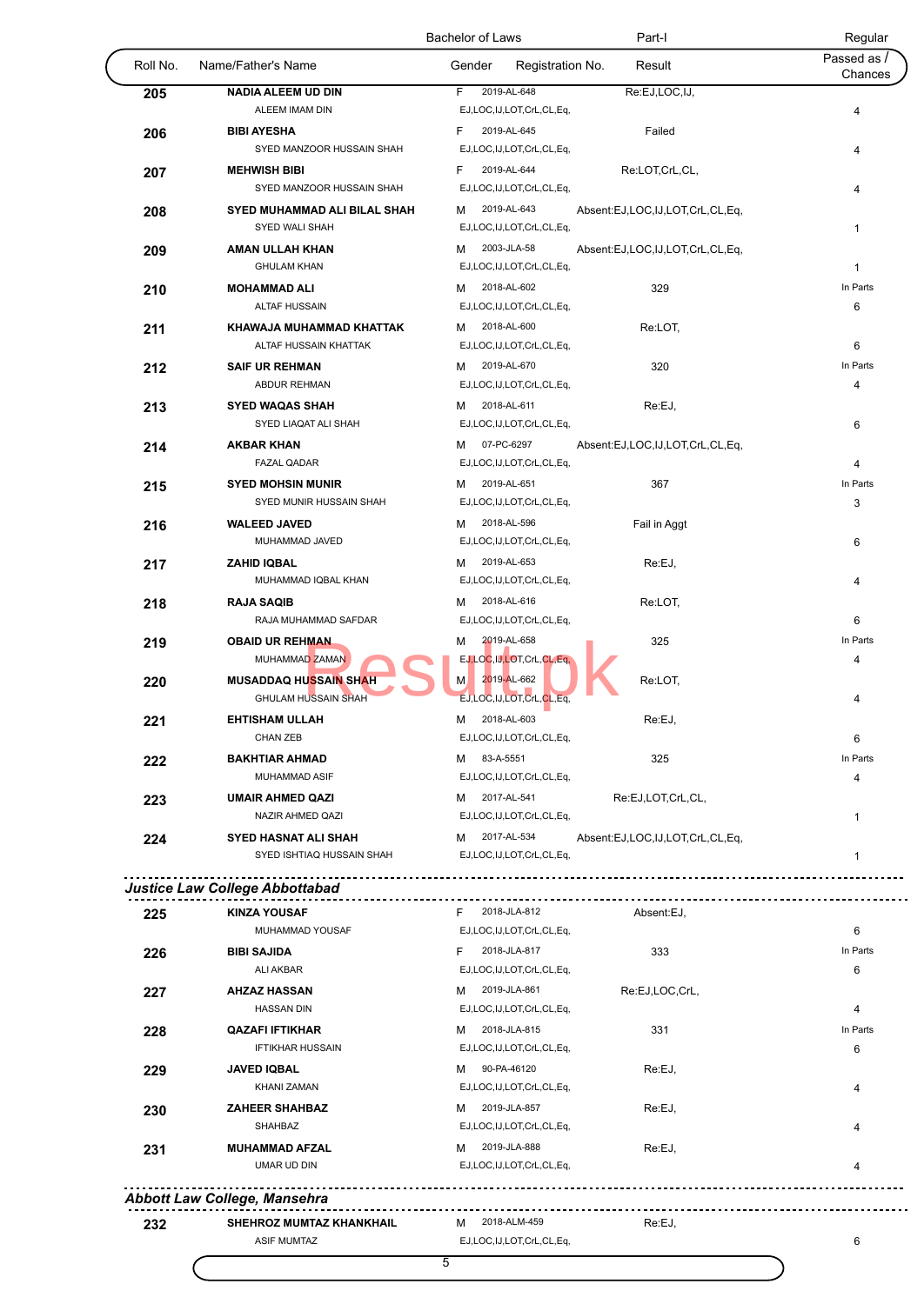|          |                                                       | Bachelor of Laws                             | Part-I                          | Regular                |
|----------|-------------------------------------------------------|----------------------------------------------|---------------------------------|------------------------|
| Roll No. | Name/Father's Name                                    | Gender<br>Registration No.                   | Result                          | Passed as /<br>Chances |
| 205      | <b>NADIA ALEEM UD DIN</b>                             | 2019-AL-648<br>F.                            | Re:EJ,LOC,IJ,                   |                        |
|          | ALEEM IMAM DIN                                        | EJ,LOC,IJ,LOT,CrL,CL,Eq,                     |                                 | 4                      |
| 206      | <b>BIBI AYESHA</b>                                    | F<br>2019-AL-645                             | Failed                          |                        |
|          | SYED MANZOOR HUSSAIN SHAH                             | EJ,LOC,IJ,LOT,CrL,CL,Eq,                     |                                 | 4                      |
| 207      | <b>MEHWISH BIBI</b>                                   | 2019-AL-644<br>F                             | Re:LOT,CrL,CL,                  |                        |
|          | SYED MANZOOR HUSSAIN SHAH                             | EJ,LOC,IJ,LOT,CrL,CL,Eq,                     |                                 | 4                      |
| 208      | <b>SYED MUHAMMAD ALI BILAL SHAH</b><br>SYED WALI SHAH | 2019-AL-643<br>м<br>EJ,LOC,IJ,LOT,CrL,CL,Eq, | Absent:EJ,LOC,IJ,LOT,CrL,CL,Eq, | $\mathbf{1}$           |
|          | <b>AMAN ULLAH KHAN</b>                                | 2003-JLA-58<br>м                             |                                 |                        |
| 209      | <b>GHULAM KHAN</b>                                    | EJ,LOC,IJ,LOT,CrL,CL,Eq,                     | Absent:EJ,LOC,IJ,LOT,CrL,CL,Eq, | $\mathbf{1}$           |
|          | <b>MOHAMMAD ALI</b>                                   | 2018-AL-602<br>м                             | 329                             | In Parts               |
| 210      | <b>ALTAF HUSSAIN</b>                                  | EJ,LOC,IJ,LOT,CrL,CL,Eq,                     |                                 | 6                      |
| 211      | KHAWAJA MUHAMMAD KHATTAK                              | 2018-AL-600<br>м                             | Re:LOT,                         |                        |
|          | ALTAF HUSSAIN KHATTAK                                 | EJ,LOC,IJ,LOT,CrL,CL,Eq,                     |                                 | 6                      |
| 212      | <b>SAIF UR REHMAN</b>                                 | 2019-AL-670<br>м                             | 320                             | In Parts               |
|          | ABDUR REHMAN                                          | EJ,LOC,IJ,LOT,CrL,CL,Eq,                     |                                 | 4                      |
| 213      | <b>SYED WAQAS SHAH</b>                                | 2018-AL-611<br>м                             | Re:EJ,                          |                        |
|          | SYED LIAQAT ALI SHAH                                  | EJ,LOC,IJ,LOT,CrL,CL,Eq,                     |                                 | 6                      |
| 214      | <b>AKBAR KHAN</b>                                     | 07-PC-6297<br>м                              | Absent:EJ,LOC,IJ,LOT,CrL,CL,Eq, |                        |
|          | <b>FAZAL QADAR</b>                                    | EJ,LOC,IJ,LOT,CrL,CL,Eq,                     |                                 | 4                      |
| 215      | <b>SYED MOHSIN MUNIR</b>                              | 2019-AL-651<br>м                             | 367                             | In Parts               |
|          | SYED MUNIR HUSSAIN SHAH                               | EJ,LOC,IJ,LOT,CrL,CL,Eq,                     |                                 | 3                      |
| 216      | <b>WALEED JAVED</b>                                   | 2018-AL-596<br>м                             | Fail in Aggt                    |                        |
|          | MUHAMMAD JAVED                                        | EJ,LOC,IJ,LOT,CrL,CL,Eq,                     |                                 | 6                      |
| 217      | <b>ZAHID IQBAL</b>                                    | 2019-AL-653<br>м                             | Re:EJ,                          |                        |
|          | MUHAMMAD IQBAL KHAN                                   | EJ,LOC,IJ,LOT,CrL,CL,Eq,                     |                                 | 4                      |
| 218      | <b>RAJA SAQIB</b>                                     | 2018-AL-616<br>м                             | Re:LOT,                         |                        |
|          | RAJA MUHAMMAD SAFDAR                                  | EJ,LOC,IJ,LOT,CrL,CL,Eq,                     |                                 | 6                      |
| 219      | <b>OBAID UR REHMAN</b>                                | 2019-AL-658<br>м                             | 325                             | In Parts               |
|          | MUHAMMAD ZAMAN                                        | EJ, LOC, IJ, LOT, CrL, CL, Eq,               |                                 | 4                      |
| 220      | <b>MUSADDAQ HUSSAIN SHAH</b>                          | 2019-AL-662<br>M.                            | Re:LOT,                         |                        |
|          | <b>GHULAM HUSSAIN SHAH</b>                            | EJ,LOC,IJ,LOT,CrL,CL,Eq,                     |                                 | 4                      |
| 221      | <b>EHTISHAM ULLAH</b>                                 | 2018-AL-603<br>м                             | Re:EJ,                          |                        |
|          | <b>CHAN ZEB</b>                                       | EJ,LOC,IJ,LOT,CrL,CL,Eq,                     |                                 | 6                      |
| 222      | <b>BAKHTIAR AHMAD</b>                                 | 83-A-5551<br>м                               | 325                             | In Parts               |
|          | MUHAMMAD ASIF                                         | EJ,LOC,IJ,LOT,CrL,CL,Eq,                     |                                 | 4                      |
| 223      | <b>UMAIR AHMED QAZI</b>                               | M 2017-AL-541                                | Re:EJ,LOT,CrL,CL,               |                        |
|          | NAZIR AHMED QAZI                                      | EJ,LOC,IJ,LOT,CrL,CL,Eq,                     |                                 | $\mathbf{1}$           |
| 224      | <b>SYED HASNAT ALI SHAH</b>                           | 2017-AL-534<br>M                             | Absent:EJ,LOC,IJ,LOT,CrL,CL,Eq, |                        |
|          | SYED ISHTIAQ HUSSAIN SHAH                             | EJ,LOC,IJ,LOT,CrL,CL,Eq,                     |                                 | $\mathbf{1}$           |
|          | Justice Law College Abbottabad                        |                                              |                                 |                        |
|          | <b>KINZA YOUSAF</b>                                   | 2018-JLA-812<br>F.                           | Absent:EJ.                      |                        |
| 225      | MUHAMMAD YOUSAF                                       | EJ,LOC,IJ,LOT,CrL,CL,Eq,                     |                                 | 6                      |
|          | <b>BIBI SAJIDA</b>                                    | 2018-JLA-817<br>F                            | 333                             | In Parts               |
| 226      | <b>ALI AKBAR</b>                                      | EJ,LOC,IJ,LOT,CrL,CL,Eq,                     |                                 | 6                      |
| 227      | <b>AHZAZ HASSAN</b>                                   | 2019-JLA-861<br>м                            | Re:EJ,LOC,CrL,                  |                        |
|          | <b>HASSAN DIN</b>                                     | EJ,LOC,IJ,LOT,CrL,CL,Eq,                     |                                 | 4                      |
| 228      | <b>QAZAFI IFTIKHAR</b>                                | 2018-JLA-815<br>м                            | 331                             | In Parts               |
|          | <b>IFTIKHAR HUSSAIN</b>                               | EJ,LOC,IJ,LOT,CrL,CL,Eq,                     |                                 | 6                      |
| 229      | <b>JAVED IQBAL</b>                                    | 90-PA-46120<br>м                             | Re:EJ,                          |                        |
|          | <b>KHANI ZAMAN</b>                                    | EJ,LOC,IJ,LOT,CrL,CL,Eq,                     |                                 | 4                      |
| 230      | <b>ZAHEER SHAHBAZ</b>                                 | 2019-JLA-857<br>м                            | Re:EJ,                          |                        |
|          | SHAHBAZ                                               | EJ,LOC,IJ,LOT,CrL,CL,Eq,                     |                                 | 4                      |
|          |                                                       | 2019-JLA-888<br>м                            | Re:EJ,                          |                        |
|          |                                                       |                                              |                                 |                        |
| 231      | <b>MUHAMMAD AFZAL</b><br>UMAR UD DIN                  | EJ,LOC,IJ,LOT,CrL,CL,Eq,                     |                                 | 4                      |
|          |                                                       |                                              |                                 |                        |
|          | <b>Abbott Law College, Mansehra</b>                   |                                              |                                 |                        |
| 232      | SHEHROZ MUMTAZ KHANKHAIL                              | 2018-ALM-459<br>м                            | Re:EJ,                          |                        |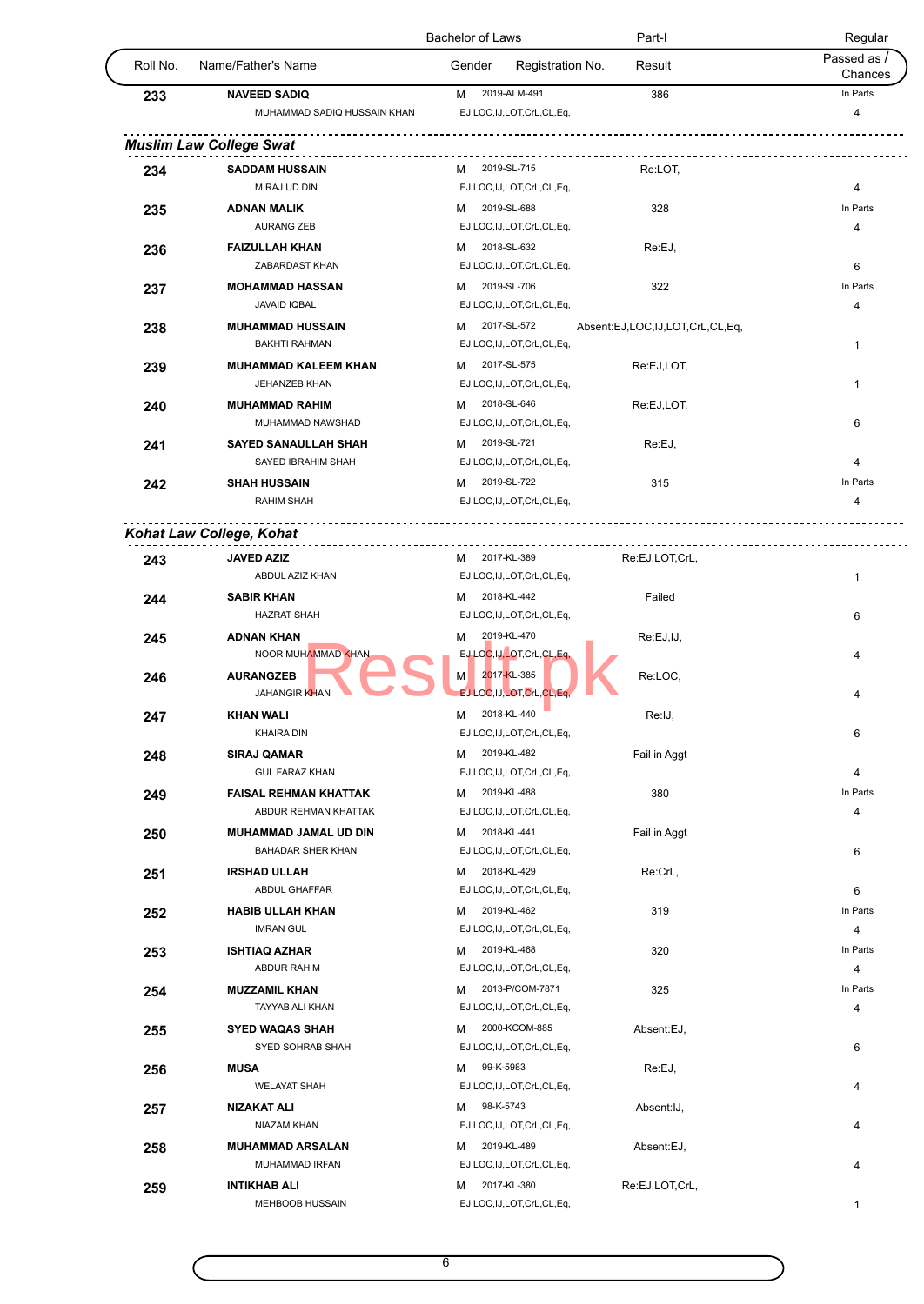|          |                                                      | <b>Bachelor of Laws</b>                      | Part-I                          | Regular                |
|----------|------------------------------------------------------|----------------------------------------------|---------------------------------|------------------------|
| Roll No. | Name/Father's Name                                   | Gender<br>Registration No.                   | Result                          | Passed as /<br>Chances |
| 233      | <b>NAVEED SADIQ</b>                                  | 2019-ALM-491<br>м                            | 386                             | In Parts               |
|          | MUHAMMAD SADIQ HUSSAIN KHAN                          | EJ,LOC,IJ,LOT,CrL,CL,Eq,                     |                                 | 4                      |
|          | <b>Muslim Law College Swat</b>                       |                                              | .                               |                        |
|          | <b>SADDAM HUSSAIN</b>                                | 2019-SL-715<br>м                             | Re:LOT,                         |                        |
| 234      | MIRAJ UD DIN                                         | EJ,LOC,IJ,LOT,CrL,CL,Eq,                     |                                 | 4                      |
| 235      | <b>ADNAN MALIK</b>                                   | 2019-SL-688<br>м                             | 328                             | In Parts               |
|          | <b>AURANG ZEB</b>                                    | EJ,LOC,IJ,LOT,CrL,CL,Eq,                     |                                 | 4                      |
| 236      | <b>FAIZULLAH KHAN</b>                                | 2018-SL-632<br>м                             | Re:EJ,                          |                        |
|          | ZABARDAST KHAN                                       | EJ,LOC,IJ,LOT,CrL,CL,Eq,                     |                                 | 6                      |
| 237      | <b>MOHAMMAD HASSAN</b>                               | 2019-SL-706<br>м                             | 322                             | In Parts               |
|          | <b>JAVAID IQBAL</b>                                  | EJ,LOC,IJ,LOT,CrL,CL,Eq,                     |                                 | 4                      |
| 238      | <b>MUHAMMAD HUSSAIN</b>                              | 2017-SL-572<br>м                             | Absent:EJ,LOC,IJ,LOT,CrL,CL,Eq, |                        |
|          | <b>BAKHTI RAHMAN</b>                                 | EJ,LOC,IJ,LOT,CrL,CL,Eq,                     |                                 | 1                      |
| 239      | <b>MUHAMMAD KALEEM KHAN</b>                          | 2017-SL-575<br>м                             | Re:EJ,LOT,                      |                        |
|          | <b>JEHANZEB KHAN</b>                                 | EJ,LOC,IJ,LOT,CrL,CL,Eq,                     |                                 | $\mathbf{1}$           |
| 240      | <b>MUHAMMAD RAHIM</b>                                | 2018-SL-646<br>м                             | Re:EJ,LOT,                      |                        |
|          | MUHAMMAD NAWSHAD                                     | EJ,LOC,IJ,LOT,CrL,CL,Eq,                     |                                 | 6                      |
| 241      | <b>SAYED SANAULLAH SHAH</b>                          | 2019-SL-721<br>м                             | Re:EJ,                          |                        |
|          | SAYED IBRAHIM SHAH                                   | EJ,LOC,IJ,LOT,CrL,CL,Eq,                     |                                 | 4                      |
| 242      | <b>SHAH HUSSAIN</b>                                  | 2019-SL-722<br>м                             | 315                             | In Parts               |
|          | <b>RAHIM SHAH</b>                                    | EJ,LOC,IJ,LOT,CrL,CL,Eq,                     |                                 | 4                      |
|          | Kohat Law College, Kohat                             |                                              |                                 |                        |
|          |                                                      |                                              |                                 |                        |
| 243      | <b>JAVED AZIZ</b>                                    | M 2017-KL-389                                | Re:EJ,LOT,CrL,                  |                        |
|          | ABDUL AZIZ KHAN                                      | EJ,LOC,IJ,LOT,CrL,CL,Eq,                     |                                 | $\mathbf{1}$           |
| 244      | <b>SABIR KHAN</b>                                    | 2018-KL-442<br>м                             | Failed                          |                        |
|          | <b>HAZRAT SHAH</b>                                   | EJ,LOC,IJ,LOT,CrL,CL,Eq,                     |                                 | 6                      |
| 245      | <b>ADNAN KHAN</b><br>NOOR MUHAMMAD KHAN              | 2019-KL-470<br>м<br>EJ,LOC,IJ,LOT,CrL,CL,Eq  | Re:EJ,IJ,                       |                        |
|          |                                                      | 2017-KL-385                                  |                                 | 4                      |
| 246      | <b>AURANGZEB</b><br><b>JAHANGIR KHAN</b>             | М<br>EJ, LOC, IJ, LOT, CrL, CL, Eq,          | Re:LOC,                         |                        |
|          |                                                      |                                              |                                 | 4                      |
| 247      | <b>KHAN WALI</b><br><b>KHAIRA DIN</b>                | 2018-KL-440<br>М<br>EJ,LOC,IJ,LOT,CrL,CL,Eq, | Re:IJ,                          | 6                      |
|          |                                                      | 2019-KL-482                                  |                                 |                        |
| 248      | <b>SIRAJ QAMAR</b><br><b>GUL FARAZ KHAN</b>          | м<br>EJ,LOC,IJ,LOT,CrL,CL,Eq,                | Fail in Aggt                    | 4                      |
|          |                                                      | 2019-KL-488                                  |                                 | In Parts               |
| 249      | <b>FAISAL REHMAN KHATTAK</b><br>ABDUR REHMAN KHATTAK | м<br>EJ,LOC,IJ,LOT,CrL,CL,Eq,                | 380                             | 4                      |
|          | <b>MUHAMMAD JAMAL UD DIN</b>                         | 2018-KL-441<br>м                             |                                 |                        |
| 250      | BAHADAR SHER KHAN                                    | EJ,LOC,IJ,LOT,CrL,CL,Eq,                     | Fail in Aggt                    | 6                      |
|          | <b>IRSHAD ULLAH</b>                                  | 2018-KL-429<br>M                             | Re:CrL,                         |                        |
| 251      | ABDUL GHAFFAR                                        | EJ,LOC,IJ,LOT,CrL,CL,Eq,                     |                                 | 6                      |
| 252      | <b>HABIB ULLAH KHAN</b>                              | 2019-KL-462<br>м                             | 319                             | In Parts               |
|          | <b>IMRAN GUL</b>                                     | EJ,LOC,IJ,LOT,CrL,CL,Eq,                     |                                 | 4                      |
| 253      | <b>ISHTIAQ AZHAR</b>                                 | 2019-KL-468<br>м                             | 320                             | In Parts               |
|          | <b>ABDUR RAHIM</b>                                   | EJ,LOC,IJ,LOT,CrL,CL,Eq,                     |                                 | 4                      |
| 254      | <b>MUZZAMIL KHAN</b>                                 | 2013-P/COM-7871<br>м                         | 325                             | In Parts               |
|          | TAYYAB ALI KHAN                                      | EJ,LOC,IJ,LOT,CrL,CL,Eq,                     |                                 | 4                      |
| 255      | <b>SYED WAQAS SHAH</b>                               | 2000-KCOM-885<br>м                           | Absent:EJ,                      |                        |
|          | SYED SOHRAB SHAH                                     | EJ,LOC,IJ,LOT,CrL,CL,Eq,                     |                                 | 6                      |
| 256      | <b>MUSA</b>                                          | 99-K-5983<br>м                               | Re:EJ,                          |                        |
|          | <b>WELAYAT SHAH</b>                                  | EJ,LOC,IJ,LOT,CrL,CL,Eq,                     |                                 | 4                      |
|          |                                                      | 98-K-5743<br>м                               | Absent: IJ,                     |                        |
|          |                                                      |                                              |                                 |                        |
| 257      | NIZAKAT ALI<br>NIAZAM KHAN                           | EJ,LOC,IJ,LOT,CrL,CL,Eq,                     |                                 | 4                      |
|          |                                                      | 2019-KL-489<br>м                             |                                 |                        |
| 258      | <b>MUHAMMAD ARSALAN</b><br>MUHAMMAD IRFAN            |                                              | Absent:EJ,                      | 4                      |
| 259      | <b>INTIKHAB ALI</b>                                  | EJ,LOC,IJ,LOT,CrL,CL,Eq,<br>2017-KL-380<br>м | Re:EJ,LOT,CrL,                  |                        |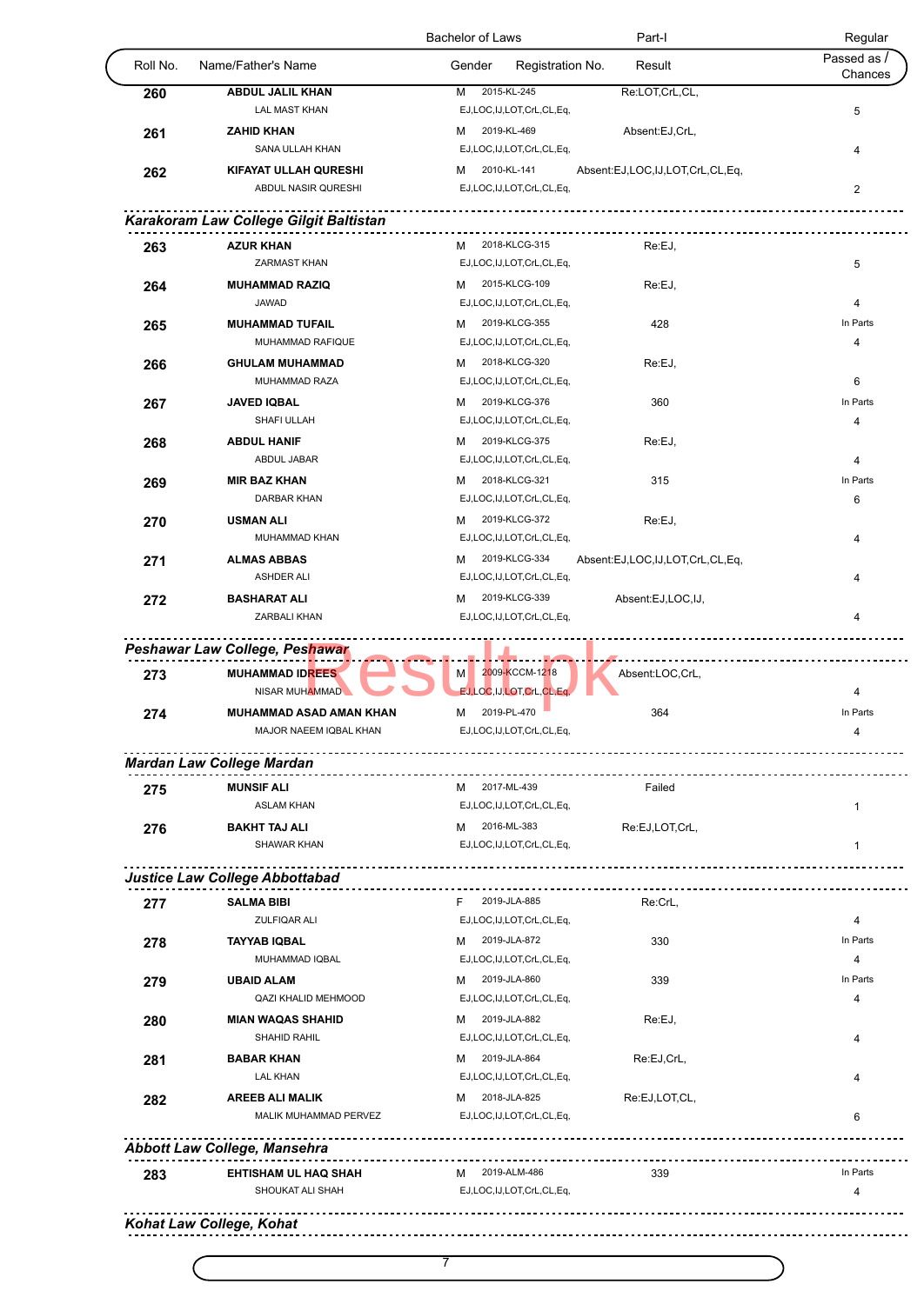|          |                                                          | Bachelor of Laws                               | Part-I<br>Regular                |
|----------|----------------------------------------------------------|------------------------------------------------|----------------------------------|
| Roll No. | Name/Father's Name                                       | Gender<br>Registration No.                     | Passed as /<br>Result<br>Chances |
| 260      | <b>ABDUL JALIL KHAN</b>                                  | 2015-KL-245<br>M                               | Re:LOT,CrL,CL,                   |
|          | <b>LAL MAST KHAN</b>                                     | EJ,LOC,IJ,LOT,CrL,CL,Eq,                       | 5                                |
| 261      | <b>ZAHID KHAN</b>                                        | 2019-KL-469<br>м                               | Absent:EJ,CrL,                   |
|          | SANA ULLAH KHAN                                          | EJ,LOC,IJ,LOT,CrL,CL,Eq,                       | 4                                |
| 262      | KIFAYAT ULLAH QURESHI<br>ABDUL NASIR QURESHI             | 2010-KL-141<br>м                               | Absent:EJ,LOC,IJ,LOT,CrL,CL,Eq,  |
|          |                                                          | EJ,LOC,IJ,LOT,CrL,CL,Eq,                       | $\overline{c}$                   |
|          | Karakoram Law College Gilgit Baltistan                   |                                                |                                  |
| 263      | <b>AZUR KHAN</b>                                         | 2018-KLCG-315<br>M                             | Re:EJ,                           |
|          | <b>ZARMAST KHAN</b>                                      | EJ,LOC,IJ,LOT,CrL,CL,Eq,                       | 5                                |
| 264      | <b>MUHAMMAD RAZIQ</b>                                    | 2015-KLCG-109<br>м                             | Re:EJ,                           |
|          | <b>JAWAD</b>                                             | EJ,LOC,IJ,LOT,CrL,CL,Eq,                       | 4                                |
| 265      | <b>MUHAMMAD TUFAIL</b>                                   | 2019-KLCG-355<br>м                             | In Parts<br>428                  |
|          | MUHAMMAD RAFIQUE                                         | EJ,LOC,IJ,LOT,CrL,CL,Eq,                       | 4                                |
| 266      | <b>GHULAM MUHAMMAD</b>                                   | 2018-KLCG-320<br>м                             | Re:EJ,                           |
|          | MUHAMMAD RAZA                                            | EJ,LOC,IJ,LOT,CrL,CL,Eq,                       | 6                                |
| 267      | <b>JAVED IQBAL</b>                                       | 2019-KLCG-376<br>м                             | In Parts<br>360                  |
|          | SHAFI ULLAH                                              | EJ,LOC,IJ,LOT,CrL,CL,Eq,                       | 4                                |
| 268      | <b>ABDUL HANIF</b>                                       | 2019-KLCG-375<br>м                             | Re:EJ,                           |
|          | ABDUL JABAR                                              | EJ,LOC,IJ,LOT,CrL,CL,Eq,                       | 4                                |
| 269      | <b>MIR BAZ KHAN</b>                                      | 2018-KLCG-321<br>м                             | In Parts<br>315                  |
|          | <b>DARBAR KHAN</b>                                       | EJ,LOC,IJ,LOT,CrL,CL,Eq,                       | 6                                |
| 270      | <b>USMAN ALI</b><br>MUHAMMAD KHAN                        | 2019-KLCG-372<br>м<br>EJ,LOC,IJ,LOT,CrL,CL,Eq, | Re:EJ,<br>4                      |
|          | <b>ALMAS ABBAS</b>                                       | 2019-KLCG-334<br>м                             | Absent:EJ,LOC,IJ,LOT,CrL,CL,Eq,  |
| 271      | <b>ASHDER ALI</b>                                        | EJ,LOC,IJ,LOT,CrL,CL,Eq,                       | 4                                |
| 272      | <b>BASHARAT ALI</b>                                      | 2019-KLCG-339<br>м                             | Absent:EJ,LOC,IJ,                |
|          | ZARBALI KHAN                                             | EJ,LOC,IJ,LOT,CrL,CL,Eq,                       | 4                                |
| 273      | Peshawar Law College, Peshawar<br><b>MUHAMMAD IDREES</b> | 2009-KCCM-1218<br>M                            | Absent:LOC,CrL,                  |
|          | NISAR MUHAMMAD                                           | EJ, LOC, IJ, LOT, CrL, CL, Eq,                 | 4                                |
| 274      | MUHAMMAD ASAD AMAN KHAN                                  | 2019-PL-470<br>М                               | In Parts<br>364                  |
|          | MAJOR NAEEM IQBAL KHAN                                   | EJ,LOC,IJ,LOT,CrL,CL,Eq,                       |                                  |
|          | <b>Mardan Law College Mardan</b>                         | ______ <b>__________________</b>               |                                  |
| 275      | <b>MUNSIF ALI</b>                                        | M 2017-ML-439                                  | Failed                           |
|          | <b>ASLAM KHAN</b>                                        | EJ,LOC,IJ,LOT,CrL,CL,Eq,                       | 1                                |
| 276      | <b>BAKHT TAJ ALI</b>                                     | 2016-ML-383<br>м                               | Re:EJ,LOT,CrL,                   |
|          | SHAWAR KHAN                                              | EJ,LOC,IJ,LOT,CrL,CL,Eq,                       | $\mathbf{1}$                     |
|          | <u></u> .                                                |                                                |                                  |
|          | Justice Law College Abbottabad                           |                                                |                                  |
| 277      | <b>SALMA BIBI</b><br><b>ZULFIQAR ALI</b>                 | F.<br>2019-JLA-885<br>EJ,LOC,IJ,LOT,CrL,CL,Eq, | Re:CrL,                          |
|          | <b>TAYYAB IQBAL</b>                                      | 2019-JLA-872                                   | $\overline{4}$<br>In Parts       |
| 278      | MUHAMMAD IQBAL                                           | м<br>EJ,LOC,IJ,LOT,CrL,CL,Eq,                  | 330<br>4                         |
| 279      | <b>UBAID ALAM</b>                                        | 2019-JLA-860<br>м                              | 339<br>In Parts                  |
|          | QAZI KHALID MEHMOOD                                      | EJ,LOC,IJ,LOT,CrL,CL,Eq,                       | 4                                |
| 280      | <b>MIAN WAQAS SHAHID</b>                                 | 2019-JLA-882<br>м                              | Re:EJ,                           |
|          | SHAHID RAHIL                                             | EJ,LOC,IJ,LOT,CrL,CL,Eq,                       | 4                                |
| 281      | <b>BABAR KHAN</b>                                        | 2019-JLA-864<br>м                              | Re:EJ,CrL,                       |
|          | <b>LAL KHAN</b>                                          | EJ,LOC,IJ,LOT,CrL,CL,Eq,                       | 4                                |
| 282      | <b>AREEB ALI MALIK</b>                                   | 2018-JLA-825<br>м                              | Re:EJ,LOT,CL,                    |
|          | MALIK MUHAMMAD PERVEZ                                    | EJ,LOC,IJ,LOT,CrL,CL,Eq,                       | 6                                |
|          |                                                          |                                                |                                  |
|          | <b>Abbott Law College, Mansehra</b>                      | <u></u>                                        |                                  |
|          |                                                          |                                                |                                  |
| 283      | EHTISHAM UL HAQ SHAH<br>SHOUKAT ALI SHAH                 | M 2019-ALM-486<br>EJ,LOC,IJ,LOT,CrL,CL,Eq,     | In Parts<br>339<br>4             |